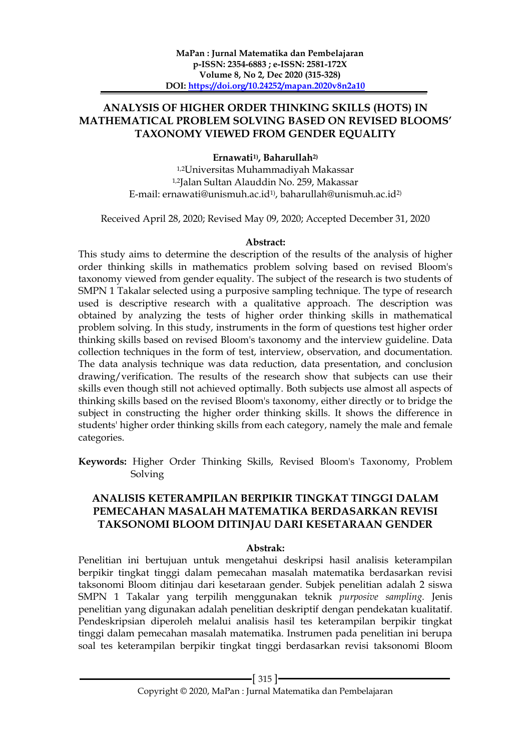### **ANALYSIS OF HIGHER ORDER THINKING SKILLS (HOTS) IN MATHEMATICAL PROBLEM SOLVING BASED ON REVISED BLOOMS' TAXONOMY VIEWED FROM GENDER EQUALITY**

### **Ernawati1) , Baharullah2)**

1,2Universitas Muhammadiyah Makassar 1,2Jalan Sultan Alauddin No. 259, Makassar E-mail: ernawati@unismuh.ac.id<sup>1)</sup>, baharullah@unismuh.ac.id<sup>2)</sup>

Received April 28, 2020; Revised May 09, 2020; Accepted December 31, 2020

#### **Abstract:**

This study aims to determine the description of the results of the analysis of higher order thinking skills in mathematics problem solving based on revised Bloom's taxonomy viewed from gender equality. The subject of the research is two students of SMPN 1 Takalar selected using a purposive sampling technique. The type of research used is descriptive research with a qualitative approach. The description was obtained by analyzing the tests of higher order thinking skills in mathematical problem solving. In this study, instruments in the form of questions test higher order thinking skills based on revised Bloom's taxonomy and the interview guideline. Data collection techniques in the form of test, interview, observation, and documentation. The data analysis technique was data reduction, data presentation, and conclusion drawing/verification. The results of the research show that subjects can use their skills even though still not achieved optimally. Both subjects use almost all aspects of thinking skills based on the revised Bloom's taxonomy, either directly or to bridge the subject in constructing the higher order thinking skills. It shows the difference in students' higher order thinking skills from each category, namely the male and female categories.

**Keywords:** Higher Order Thinking Skills, Revised Bloom's Taxonomy, Problem Solving

### **ANALISIS KETERAMPILAN BERPIKIR TINGKAT TINGGI DALAM PEMECAHAN MASALAH MATEMATIKA BERDASARKAN REVISI TAKSONOMI BLOOM DITINJAU DARI KESETARAAN GENDER**

#### **Abstrak:**

Penelitian ini bertujuan untuk mengetahui deskripsi hasil analisis keterampilan berpikir tingkat tinggi dalam pemecahan masalah matematika berdasarkan revisi taksonomi Bloom ditinjau dari kesetaraan gender. Subjek penelitian adalah 2 siswa SMPN 1 Takalar yang terpilih menggunakan teknik *purposive sampling.* Jenis penelitian yang digunakan adalah penelitian deskriptif dengan pendekatan kualitatif. Pendeskripsian diperoleh melalui analisis hasil tes keterampilan berpikir tingkat tinggi dalam pemecahan masalah matematika. Instrumen pada penelitian ini berupa soal tes keterampilan berpikir tingkat tinggi berdasarkan revisi taksonomi Bloom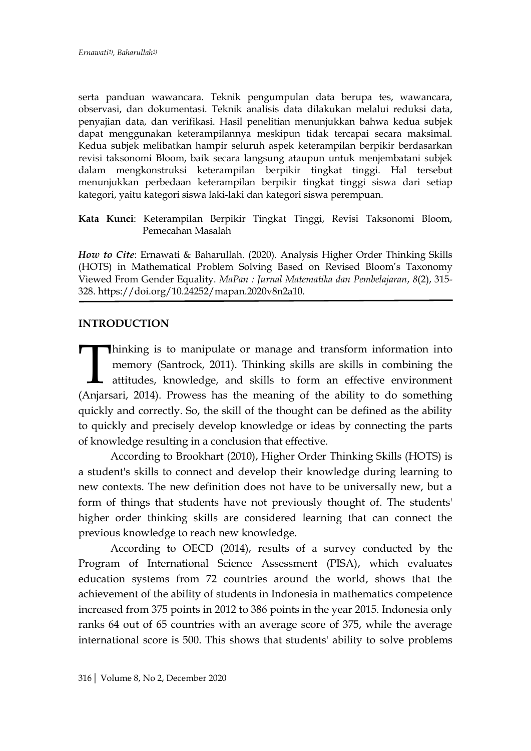serta panduan wawancara. Teknik pengumpulan data berupa tes, wawancara, observasi, dan dokumentasi. Teknik analisis data dilakukan melalui reduksi data, penyajian data, dan verifikasi. Hasil penelitian menunjukkan bahwa kedua subjek dapat menggunakan keterampilannya meskipun tidak tercapai secara maksimal. Kedua subjek melibatkan hampir seluruh aspek keterampilan berpikir berdasarkan revisi taksonomi Bloom, baik secara langsung ataupun untuk menjembatani subjek dalam mengkonstruksi keterampilan berpikir tingkat tinggi. Hal tersebut menunjukkan perbedaan keterampilan berpikir tingkat tinggi siswa dari setiap kategori, yaitu kategori siswa laki-laki dan kategori siswa perempuan.

**Kata Kunci**: Keterampilan Berpikir Tingkat Tinggi, Revisi Taksonomi Bloom, Pemecahan Masalah

*How to Cite*: Ernawati & Baharullah. (2020). Analysis Higher Order Thinking Skills (HOTS) in Mathematical Problem Solving Based on Revised Bloom's Taxonomy Viewed From Gender Equality. *MaPan : Jurnal Matematika dan Pembelajaran*, *8*(2), 315- 328. https://doi.org/10.24252/mapan.2020v8n2a10.

#### **INTRODUCTION**

hinking is to manipulate or manage and transform information into memory (Santrock, 2011). Thinking skills are skills in combining the attitudes, knowledge, and skills to form an effective environment Thinking is to manipulate or manage and transform information into memory (Santrock, 2011). Thinking skills are skills in combining the attitudes, knowledge, and skills to form an effective environment (Anjarsari, 2014). P quickly and correctly. So, the skill of the thought can be defined as the ability to quickly and precisely develop knowledge or ideas by connecting the parts of knowledge resulting in a conclusion that effective.

According to Brookhart (2010), Higher Order Thinking Skills (HOTS) is a student's skills to connect and develop their knowledge during learning to new contexts. The new definition does not have to be universally new, but a form of things that students have not previously thought of. The students' higher order thinking skills are considered learning that can connect the previous knowledge to reach new knowledge.

According to OECD (2014), results of a survey conducted by the Program of International Science Assessment (PISA), which evaluates education systems from 72 countries around the world, shows that the achievement of the ability of students in Indonesia in mathematics competence increased from 375 points in 2012 to 386 points in the year 2015. Indonesia only ranks 64 out of 65 countries with an average score of 375, while the average international score is 500. This shows that students' ability to solve problems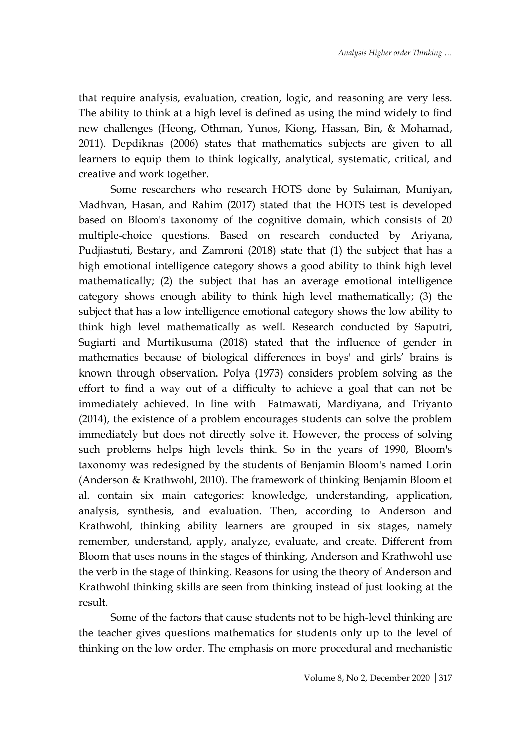that require analysis, evaluation, creation, logic, and reasoning are very less. The ability to think at a high level is defined as using the mind widely to find new challenges (Heong, Othman, Yunos, Kiong, Hassan, Bin, & Mohamad, 2011). Depdiknas (2006) states that mathematics subjects are given to all learners to equip them to think logically, analytical, systematic, critical, and creative and work together.

Some researchers who research HOTS done by Sulaiman, Muniyan, Madhvan, Hasan, and Rahim (2017) stated that the HOTS test is developed based on Bloom's taxonomy of the cognitive domain, which consists of 20 multiple-choice questions. Based on research conducted by Ariyana, Pudjiastuti, Bestary, and Zamroni (2018) state that (1) the subject that has a high emotional intelligence category shows a good ability to think high level mathematically; (2) the subject that has an average emotional intelligence category shows enough ability to think high level mathematically; (3) the subject that has a low intelligence emotional category shows the low ability to think high level mathematically as well. Research conducted by Saputri, Sugiarti and Murtikusuma (2018) stated that the influence of gender in mathematics because of biological differences in boys' and girls' brains is known through observation. Polya (1973) considers problem solving as the effort to find a way out of a difficulty to achieve a goal that can not be immediately achieved. In line with Fatmawati, Mardiyana, and Triyanto (2014), the existence of a problem encourages students can solve the problem immediately but does not directly solve it. However, the process of solving such problems helps high levels think. So in the years of 1990, Bloom's taxonomy was redesigned by the students of Benjamin Bloom's named Lorin (Anderson & Krathwohl, 2010). The framework of thinking Benjamin Bloom et al. contain six main categories: knowledge, understanding, application, analysis, synthesis, and evaluation. Then, according to Anderson and Krathwohl, thinking ability learners are grouped in six stages, namely remember, understand, apply, analyze, evaluate, and create. Different from Bloom that uses nouns in the stages of thinking, Anderson and Krathwohl use the verb in the stage of thinking. Reasons for using the theory of Anderson and Krathwohl thinking skills are seen from thinking instead of just looking at the result.

Some of the factors that cause students not to be high-level thinking are the teacher gives questions mathematics for students only up to the level of thinking on the low order. The emphasis on more procedural and mechanistic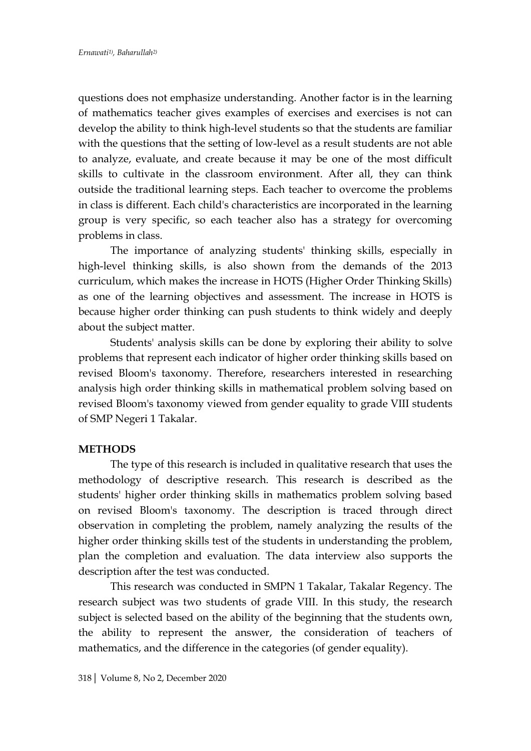questions does not emphasize understanding. Another factor is in the learning of mathematics teacher gives examples of exercises and exercises is not can develop the ability to think high-level students so that the students are familiar with the questions that the setting of low-level as a result students are not able to analyze, evaluate, and create because it may be one of the most difficult skills to cultivate in the classroom environment. After all, they can think outside the traditional learning steps. Each teacher to overcome the problems in class is different. Each child's characteristics are incorporated in the learning group is very specific, so each teacher also has a strategy for overcoming problems in class.

The importance of analyzing students' thinking skills, especially in high-level thinking skills, is also shown from the demands of the 2013 curriculum, which makes the increase in HOTS (Higher Order Thinking Skills) as one of the learning objectives and assessment. The increase in HOTS is because higher order thinking can push students to think widely and deeply about the subject matter.

Students' analysis skills can be done by exploring their ability to solve problems that represent each indicator of higher order thinking skills based on revised Bloom's taxonomy. Therefore, researchers interested in researching analysis high order thinking skills in mathematical problem solving based on revised Bloom's taxonomy viewed from gender equality to grade VIII students of SMP Negeri 1 Takalar.

### **METHODS**

The type of this research is included in qualitative research that uses the methodology of descriptive research. This research is described as the students' higher order thinking skills in mathematics problem solving based on revised Bloom's taxonomy. The description is traced through direct observation in completing the problem, namely analyzing the results of the higher order thinking skills test of the students in understanding the problem, plan the completion and evaluation. The data interview also supports the description after the test was conducted.

This research was conducted in SMPN 1 Takalar, Takalar Regency. The research subject was two students of grade VIII. In this study, the research subject is selected based on the ability of the beginning that the students own, the ability to represent the answer, the consideration of teachers of mathematics, and the difference in the categories (of gender equality).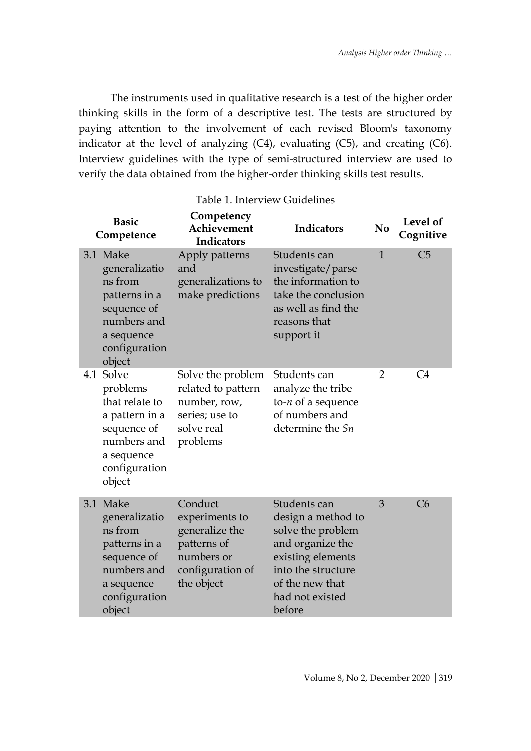The instruments used in qualitative research is a test of the higher order thinking skills in the form of a descriptive test. The tests are structured by paying attention to the involvement of each revised Bloom's taxonomy indicator at the level of analyzing (C4), evaluating (C5), and creating (C6). Interview guidelines with the type of semi-structured interview are used to verify the data obtained from the higher-order thinking skills test results.

| Table 1. Interview Guidelines |                                                                                                                              |                                                                                                            |                                                                                                                                                                        |                |                       |
|-------------------------------|------------------------------------------------------------------------------------------------------------------------------|------------------------------------------------------------------------------------------------------------|------------------------------------------------------------------------------------------------------------------------------------------------------------------------|----------------|-----------------------|
|                               | <b>Basic</b><br>Competence                                                                                                   | Competency<br>Achievement<br>Indicators                                                                    | Indicators                                                                                                                                                             | N <sub>0</sub> | Level of<br>Cognitive |
|                               | 3.1 Make<br>generalizatio<br>ns from<br>patterns in a<br>sequence of<br>numbers and<br>a sequence<br>configuration<br>object | Apply patterns<br>and<br>generalizations to<br>make predictions                                            | Students can<br>investigate/parse<br>the information to<br>take the conclusion<br>as well as find the<br>reasons that<br>support it                                    | $\mathbf{1}$   | C <sub>5</sub>        |
| 4.1                           | Solve<br>problems<br>that relate to<br>a pattern in a<br>sequence of<br>numbers and<br>a sequence<br>configuration<br>object | Solve the problem<br>related to pattern<br>number, row,<br>series; use to<br>solve real<br>problems        | Students can<br>analyze the tribe<br>to- $n$ of a sequence<br>of numbers and<br>determine the Sn                                                                       | $\overline{2}$ | C <sub>4</sub>        |
|                               | 3.1 Make<br>generalizatio<br>ns from<br>patterns in a<br>sequence of<br>numbers and<br>a sequence<br>configuration<br>object | Conduct<br>experiments to<br>generalize the<br>patterns of<br>numbers or<br>configuration of<br>the object | Students can<br>design a method to<br>solve the problem<br>and organize the<br>existing elements<br>into the structure<br>of the new that<br>had not existed<br>before | 3              | C6                    |

Table 1. Interview Guidelines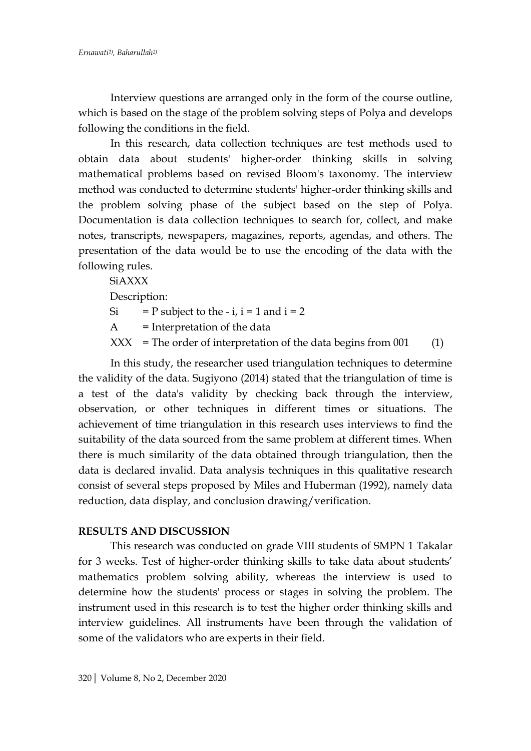Interview questions are arranged only in the form of the course outline, which is based on the stage of the problem solving steps of Polya and develops following the conditions in the field.

In this research, data collection techniques are test methods used to obtain data about students' higher-order thinking skills in solving mathematical problems based on revised Bloom's taxonomy. The interview method was conducted to determine students' higher-order thinking skills and the problem solving phase of the subject based on the step of Polya. Documentation is data collection techniques to search for, collect, and make notes, transcripts, newspapers, magazines, reports, agendas, and others. The presentation of the data would be to use the encoding of the data with the following rules.

**SiAXXX** Description: Si = P subject to the - i,  $i = 1$  and  $i = 2$  $A =$  Interpretation of the data  $XXX = The order of interpretation of the data begins from 001$  (1)

In this study, the researcher used triangulation techniques to determine the validity of the data. Sugiyono (2014) stated that the triangulation of time is a test of the data's validity by checking back through the interview, observation, or other techniques in different times or situations. The achievement of time triangulation in this research uses interviews to find the suitability of the data sourced from the same problem at different times. When there is much similarity of the data obtained through triangulation, then the data is declared invalid. Data analysis techniques in this qualitative research consist of several steps proposed by Miles and Huberman (1992), namely data reduction, data display, and conclusion drawing/verification.

### **RESULTS AND DISCUSSION**

This research was conducted on grade VIII students of SMPN 1 Takalar for 3 weeks. Test of higher-order thinking skills to take data about students' mathematics problem solving ability, whereas the interview is used to determine how the students' process or stages in solving the problem. The instrument used in this research is to test the higher order thinking skills and interview guidelines. All instruments have been through the validation of some of the validators who are experts in their field.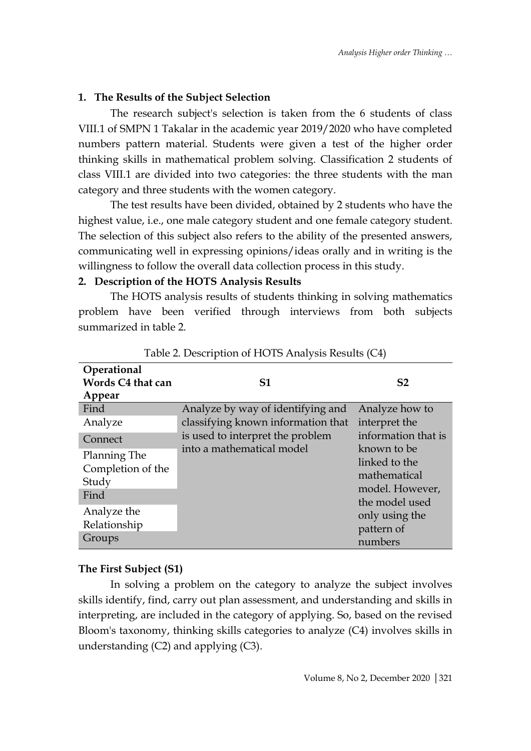### **1. The Results of the Subject Selection**

The research subject's selection is taken from the 6 students of class VIII.1 of SMPN 1 Takalar in the academic year 2019/2020 who have completed numbers pattern material. Students were given a test of the higher order thinking skills in mathematical problem solving. Classification 2 students of class VIII.1 are divided into two categories: the three students with the man category and three students with the women category.

The test results have been divided, obtained by 2 students who have the highest value, i.e., one male category student and one female category student. The selection of this subject also refers to the ability of the presented answers, communicating well in expressing opinions/ideas orally and in writing is the willingness to follow the overall data collection process in this study.

### **2. Description of the HOTS Analysis Results**

The HOTS analysis results of students thinking in solving mathematics problem have been verified through interviews from both subjects summarized in table 2.

| Operational       |                                    |                     |  |
|-------------------|------------------------------------|---------------------|--|
| Words C4 that can | S1                                 | S <sub>2</sub>      |  |
| Appear            |                                    |                     |  |
| Find              | Analyze by way of identifying and  | Analyze how to      |  |
| Analyze           | classifying known information that | interpret the       |  |
| Connect           | is used to interpret the problem   | information that is |  |
| Planning The      | into a mathematical model          | known to be         |  |
| Completion of the |                                    | linked to the       |  |
|                   |                                    | mathematical        |  |
| Study             |                                    | model. However,     |  |
| Find              |                                    | the model used      |  |
| Analyze the       |                                    | only using the      |  |
| Relationship      |                                    | pattern of          |  |
| Groups            |                                    | numbers             |  |

Table 2. Description of HOTS Analysis Results (C4)

## **The First Subject (S1)**

In solving a problem on the category to analyze the subject involves skills identify, find, carry out plan assessment, and understanding and skills in interpreting, are included in the category of applying. So, based on the revised Bloom's taxonomy, thinking skills categories to analyze (C4) involves skills in understanding (C2) and applying (C3).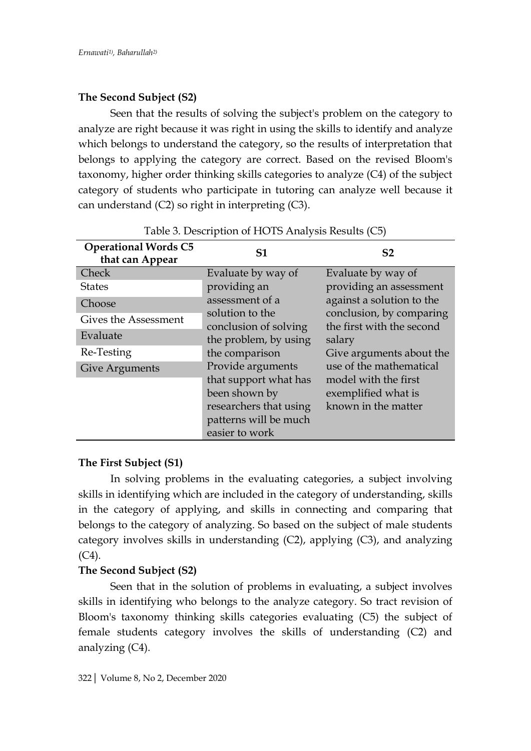# **The Second Subject (S2)**

Seen that the results of solving the subject's problem on the category to analyze are right because it was right in using the skills to identify and analyze which belongs to understand the category, so the results of interpretation that belongs to applying the category are correct. Based on the revised Bloom's taxonomy, higher order thinking skills categories to analyze (C4) of the subject category of students who participate in tutoring can analyze well because it can understand (C2) so right in interpreting (C3).

| <b>Operational Words C5</b><br>that can Appear | <b>S1</b>                                | S <sub>2</sub>                                                                                                          |  |
|------------------------------------------------|------------------------------------------|-------------------------------------------------------------------------------------------------------------------------|--|
| Check                                          | Evaluate by way of                       | Evaluate by way of                                                                                                      |  |
| <b>States</b>                                  | providing an                             | providing an assessment<br>against a solution to the<br>conclusion, by comparing<br>the first with the second<br>salary |  |
| Choose                                         | assessment of a                          |                                                                                                                         |  |
| Gives the Assessment                           | solution to the<br>conclusion of solving |                                                                                                                         |  |
| Evaluate                                       | the problem, by using                    |                                                                                                                         |  |
| Re-Testing                                     | the comparison                           | Give arguments about the                                                                                                |  |
| <b>Give Arguments</b>                          | Provide arguments                        | use of the mathematical                                                                                                 |  |
|                                                | that support what has                    | model with the first                                                                                                    |  |
|                                                | been shown by                            | exemplified what is                                                                                                     |  |
|                                                | researchers that using                   | known in the matter                                                                                                     |  |
|                                                | patterns will be much                    |                                                                                                                         |  |
|                                                | easier to work                           |                                                                                                                         |  |

### Table 3. Description of HOTS Analysis Results (C5)

## **The First Subject (S1)**

In solving problems in the evaluating categories, a subject involving skills in identifying which are included in the category of understanding, skills in the category of applying, and skills in connecting and comparing that belongs to the category of analyzing. So based on the subject of male students category involves skills in understanding (C2), applying (C3), and analyzing  $(C4)$ .

## **The Second Subject (S2)**

Seen that in the solution of problems in evaluating, a subject involves skills in identifying who belongs to the analyze category. So tract revision of Bloom's taxonomy thinking skills categories evaluating (C5) the subject of female students category involves the skills of understanding (C2) and analyzing (C4).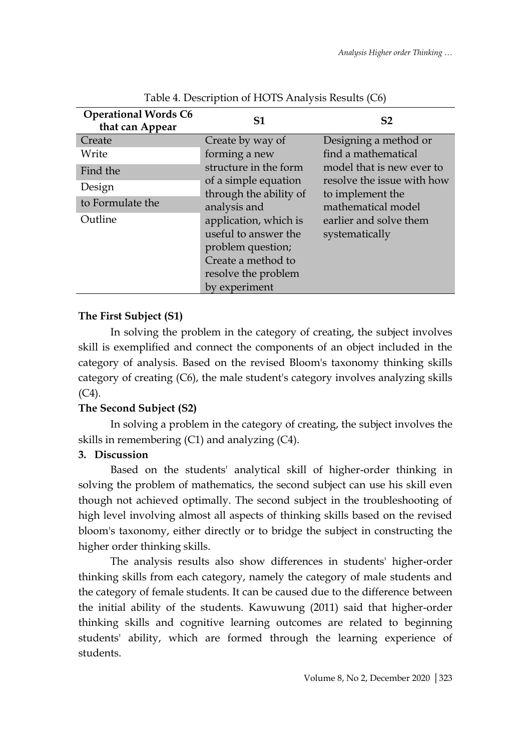| <b>Operational Words C6</b><br>that can Appear | S1                                             | S <sub>2</sub>                                          |
|------------------------------------------------|------------------------------------------------|---------------------------------------------------------|
| Create                                         | Create by way of                               | Designing a method or                                   |
| Write                                          | forming a new                                  | find a mathematical                                     |
| Find the                                       | structure in the form                          | model that is new ever to<br>resolve the issue with how |
| Design                                         | of a simple equation<br>through the ability of | to implement the                                        |
| to Formulate the                               | analysis and                                   | mathematical model                                      |
| Outline                                        | application, which is                          | earlier and solve them                                  |
|                                                | useful to answer the                           | systematically                                          |
|                                                | problem question;                              |                                                         |
|                                                | Create a method to                             |                                                         |
|                                                | resolve the problem                            |                                                         |
|                                                | by experiment                                  |                                                         |

Table 4. Description of HOTS Analysis Results (C6)

## **The First Subject (S1)**

In solving the problem in the category of creating, the subject involves skill is exemplified and connect the components of an object included in the category of analysis. Based on the revised Bloom's taxonomy thinking skills category of creating (C6), the male student's category involves analyzing skills  $(C4)$ .

## **The Second Subject (S2)**

In solving a problem in the category of creating, the subject involves the skills in remembering (C1) and analyzing (C4).

## **3. Discussion**

Based on the students' analytical skill of higher-order thinking in solving the problem of mathematics, the second subject can use his skill even though not achieved optimally. The second subject in the troubleshooting of high level involving almost all aspects of thinking skills based on the revised bloom's taxonomy, either directly or to bridge the subject in constructing the higher order thinking skills.

The analysis results also show differences in students' higher-order thinking skills from each category, namely the category of male students and the category of female students. It can be caused due to the difference between the initial ability of the students. Kawuwung (2011) said that higher-order thinking skills and cognitive learning outcomes are related to beginning students' ability, which are formed through the learning experience of students.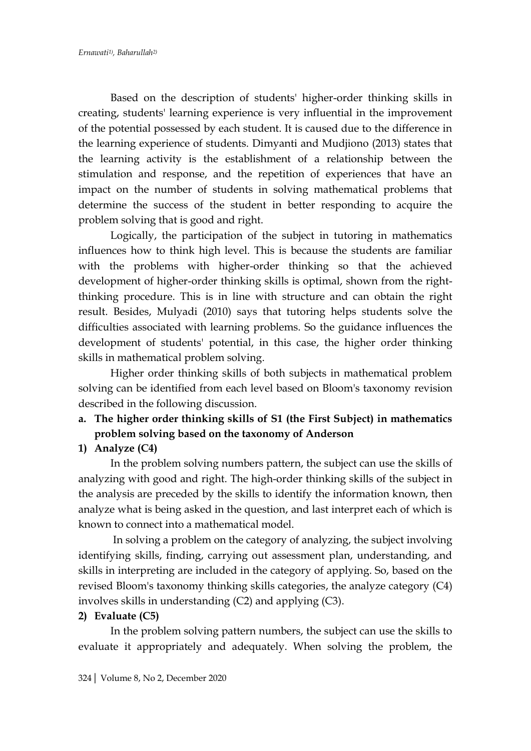Based on the description of students' higher-order thinking skills in creating, students' learning experience is very influential in the improvement of the potential possessed by each student. It is caused due to the difference in the learning experience of students. Dimyanti and Mudjiono (2013) states that the learning activity is the establishment of a relationship between the stimulation and response, and the repetition of experiences that have an impact on the number of students in solving mathematical problems that determine the success of the student in better responding to acquire the problem solving that is good and right.

Logically, the participation of the subject in tutoring in mathematics influences how to think high level. This is because the students are familiar with the problems with higher-order thinking so that the achieved development of higher-order thinking skills is optimal, shown from the rightthinking procedure. This is in line with structure and can obtain the right result. Besides, Mulyadi (2010) says that tutoring helps students solve the difficulties associated with learning problems. So the guidance influences the development of students' potential, in this case, the higher order thinking skills in mathematical problem solving.

Higher order thinking skills of both subjects in mathematical problem solving can be identified from each level based on Bloom's taxonomy revision described in the following discussion.

**a. The higher order thinking skills of S1 (the First Subject) in mathematics problem solving based on the taxonomy of Anderson**

### **1) Analyze (C4)**

In the problem solving numbers pattern, the subject can use the skills of analyzing with good and right. The high-order thinking skills of the subject in the analysis are preceded by the skills to identify the information known, then analyze what is being asked in the question, and last interpret each of which is known to connect into a mathematical model.

In solving a problem on the category of analyzing, the subject involving identifying skills, finding, carrying out assessment plan, understanding, and skills in interpreting are included in the category of applying. So, based on the revised Bloom's taxonomy thinking skills categories, the analyze category (C4) involves skills in understanding (C2) and applying (C3).

### **2) Evaluate (C5)**

In the problem solving pattern numbers, the subject can use the skills to evaluate it appropriately and adequately. When solving the problem, the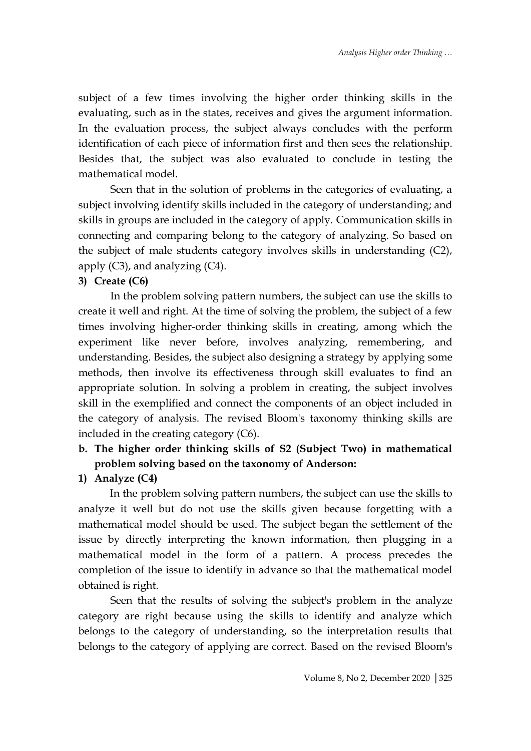subject of a few times involving the higher order thinking skills in the evaluating, such as in the states, receives and gives the argument information. In the evaluation process, the subject always concludes with the perform identification of each piece of information first and then sees the relationship. Besides that, the subject was also evaluated to conclude in testing the mathematical model.

Seen that in the solution of problems in the categories of evaluating, a subject involving identify skills included in the category of understanding; and skills in groups are included in the category of apply. Communication skills in connecting and comparing belong to the category of analyzing. So based on the subject of male students category involves skills in understanding (C2), apply  $(C3)$ , and analyzing  $(C4)$ .

### **3) Create (C6)**

In the problem solving pattern numbers, the subject can use the skills to create it well and right. At the time of solving the problem, the subject of a few times involving higher-order thinking skills in creating, among which the experiment like never before, involves analyzing, remembering, and understanding. Besides, the subject also designing a strategy by applying some methods, then involve its effectiveness through skill evaluates to find an appropriate solution. In solving a problem in creating, the subject involves skill in the exemplified and connect the components of an object included in the category of analysis. The revised Bloom's taxonomy thinking skills are included in the creating category (C6).

# **b. The higher order thinking skills of S2 (Subject Two) in mathematical problem solving based on the taxonomy of Anderson:**

**1) Analyze (C4)**

In the problem solving pattern numbers, the subject can use the skills to analyze it well but do not use the skills given because forgetting with a mathematical model should be used. The subject began the settlement of the issue by directly interpreting the known information, then plugging in a mathematical model in the form of a pattern. A process precedes the completion of the issue to identify in advance so that the mathematical model obtained is right.

Seen that the results of solving the subject's problem in the analyze category are right because using the skills to identify and analyze which belongs to the category of understanding, so the interpretation results that belongs to the category of applying are correct. Based on the revised Bloom's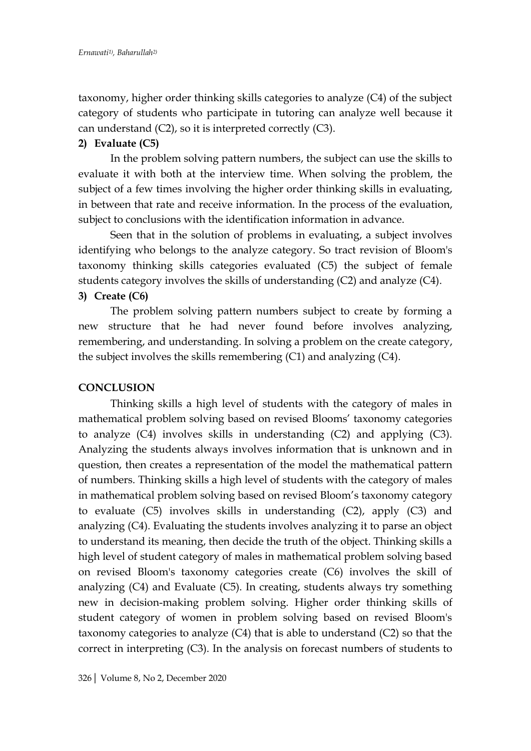taxonomy, higher order thinking skills categories to analyze (C4) of the subject category of students who participate in tutoring can analyze well because it can understand (C2), so it is interpreted correctly (C3).

### **2) Evaluate (C5)**

In the problem solving pattern numbers, the subject can use the skills to evaluate it with both at the interview time. When solving the problem, the subject of a few times involving the higher order thinking skills in evaluating, in between that rate and receive information. In the process of the evaluation, subject to conclusions with the identification information in advance.

Seen that in the solution of problems in evaluating, a subject involves identifying who belongs to the analyze category. So tract revision of Bloom's taxonomy thinking skills categories evaluated (C5) the subject of female students category involves the skills of understanding (C2) and analyze (C4). **3) Create (C6)**

The problem solving pattern numbers subject to create by forming a new structure that he had never found before involves analyzing, remembering, and understanding. In solving a problem on the create category, the subject involves the skills remembering (C1) and analyzing (C4).

### **CONCLUSION**

Thinking skills a high level of students with the category of males in mathematical problem solving based on revised Blooms' taxonomy categories to analyze (C4) involves skills in understanding (C2) and applying (C3). Analyzing the students always involves information that is unknown and in question, then creates a representation of the model the mathematical pattern of numbers. Thinking skills a high level of students with the category of males in mathematical problem solving based on revised Bloom's taxonomy category to evaluate (C5) involves skills in understanding (C2), apply (C3) and analyzing (C4). Evaluating the students involves analyzing it to parse an object to understand its meaning, then decide the truth of the object. Thinking skills a high level of student category of males in mathematical problem solving based on revised Bloom's taxonomy categories create (C6) involves the skill of analyzing (C4) and Evaluate (C5). In creating, students always try something new in decision-making problem solving. Higher order thinking skills of student category of women in problem solving based on revised Bloom's taxonomy categories to analyze (C4) that is able to understand (C2) so that the correct in interpreting (C3). In the analysis on forecast numbers of students to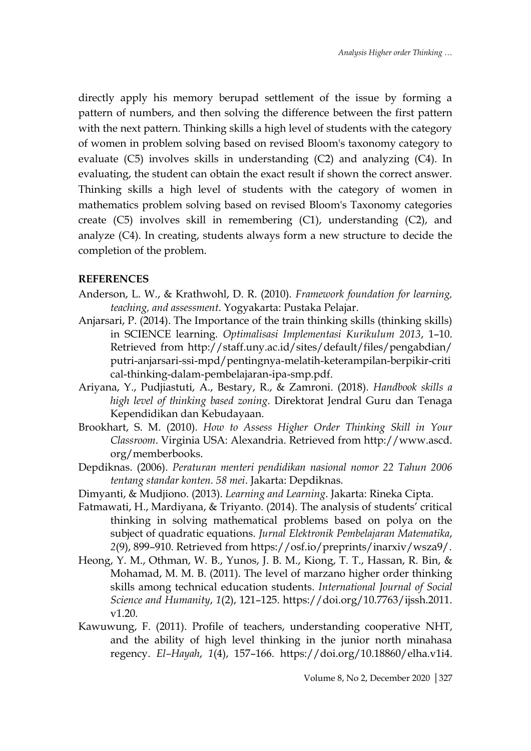directly apply his memory berupad settlement of the issue by forming a pattern of numbers, and then solving the difference between the first pattern with the next pattern. Thinking skills a high level of students with the category of women in problem solving based on revised Bloom's taxonomy category to evaluate (C5) involves skills in understanding (C2) and analyzing (C4). In evaluating, the student can obtain the exact result if shown the correct answer. Thinking skills a high level of students with the category of women in mathematics problem solving based on revised Bloom's Taxonomy categories create (C5) involves skill in remembering (C1), understanding (C2), and analyze (C4). In creating, students always form a new structure to decide the completion of the problem.

#### **REFERENCES**

- Anderson, L. W., & Krathwohl, D. R. (2010). *Framework foundation for learning, teaching, and assessment*. Yogyakarta: Pustaka Pelajar.
- Anjarsari, P. (2014). The Importance of the train thinking skills (thinking skills) in SCIENCE learning. *Optimalisasi Implementasi Kurikulum 2013*, 1–10. Retrieved from http://staff.uny.ac.id/sites/default/files/pengabdian/ putri-anjarsari-ssi-mpd/pentingnya-melatih-keterampilan-berpikir-criti cal-thinking-dalam-pembelajaran-ipa-smp.pdf.
- Ariyana, Y., Pudjiastuti, A., Bestary, R., & Zamroni. (2018). *Handbook skills a high level of thinking based zoning*. Direktorat Jendral Guru dan Tenaga Kependidikan dan Kebudayaan.
- Brookhart, S. M. (2010). *How to Assess Higher Order Thinking Skill in Your Classroom*. Virginia USA: Alexandria. Retrieved from http://www.ascd. org/memberbooks.
- Depdiknas. (2006). *Peraturan menteri pendidikan nasional nomor 22 Tahun 2006 tentang standar konten. 58 mei*. Jakarta: Depdiknas.
- Dimyanti, & Mudjiono. (2013). *Learning and Learning*. Jakarta: Rineka Cipta.
- Fatmawati, H., Mardiyana, & Triyanto. (2014). The analysis of students' critical thinking in solving mathematical problems based on polya on the subject of quadratic equations. *Jurnal Elektronik Pembelajaran Matematika*, *2*(9), 899–910. Retrieved from https://osf.io/preprints/inarxiv/wsza9/.
- Heong, Y. M., Othman, W. B., Yunos, J. B. M., Kiong, T. T., Hassan, R. Bin, & Mohamad, M. M. B. (2011). The level of marzano higher order thinking skills among technical education students. *International Journal of Social Science and Humanity*, *1*(2), 121–125. https://doi.org/10.7763/ijssh.2011. v1.20.
- Kawuwung, F. (2011). Profile of teachers, understanding cooperative NHT, and the ability of high level thinking in the junior north minahasa regency. *El–Hayah*, *1*(4), 157–166. https://doi.org/10.18860/elha.v1i4.